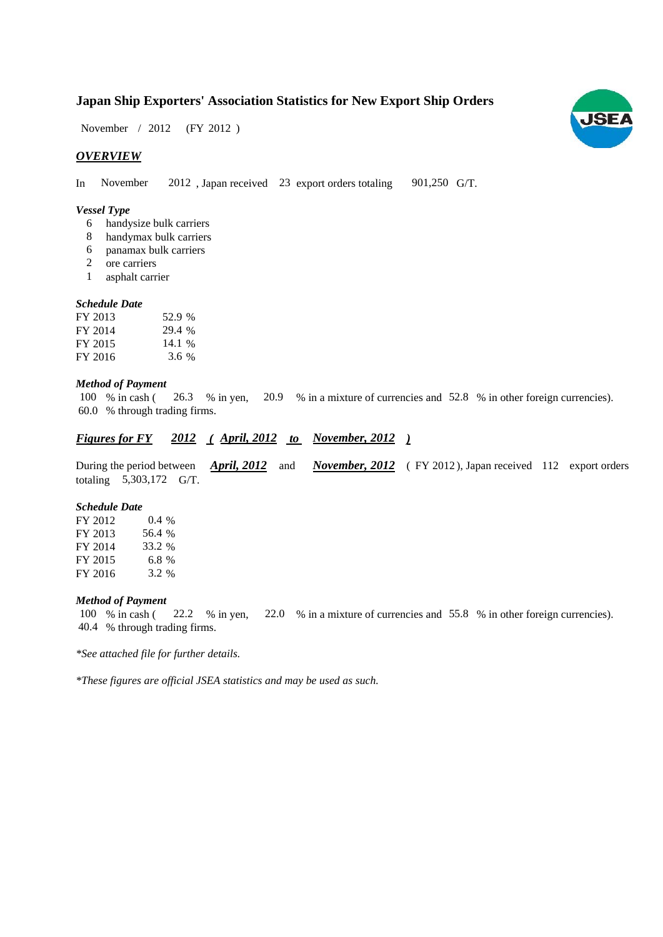# **Japan Ship Exporters' Association Statistics for New Export Ship Orders**

November / 2012 (FY 2012)

## *OVERVIEW*

In November 2012, Japan received 23 export orders totaling 901,250 G/T. 901,250 G/T.

#### *Vessel Type*

- handysize bulk carriers 6
- handymax bulk carriers 8
- panamax bulk carriers 6
- ore carriers 2
- asphalt carrier 1

#### *Schedule Date*

| FY 2013 | 52.9 % |
|---------|--------|
| FY 2014 | 29.4 % |
| FY 2015 | 14.1%  |
| FY 2016 | 3.6%   |

#### *Method of Payment*

100 % in cash (26.3 % in yen, 20.9 % in a mixture of currencies and 52.8 % in other foreign currencies). % through trading firms. 60.0

## *Figures for FY* 2012 (April, 2012 to November, 2012)

During the period between *April, 2012* and *November, 2012* (FY 2012), Japan received 112 export orders totaling  $5,303,172$  G/T. *April, 2012*

#### *Schedule Date*

FY 2012 FY 2013 FY 2014 FY 2015 FY 2016 56.4 3.2 0.4 % 33.2 6.8

#### *Method of Payment*

% in cash ( $\,22.2\,\%$  in yen,  $\,22.0\,\%$  in a mixture of currencies and  $\,55.8\,\%$  in other foreign currencies). % through trading firms. 40.4 22.2 % in yen, 100 % in cash (

*\*See attached file for further details.*

*\*These figures are official JSEA statistics and may be used as such.*

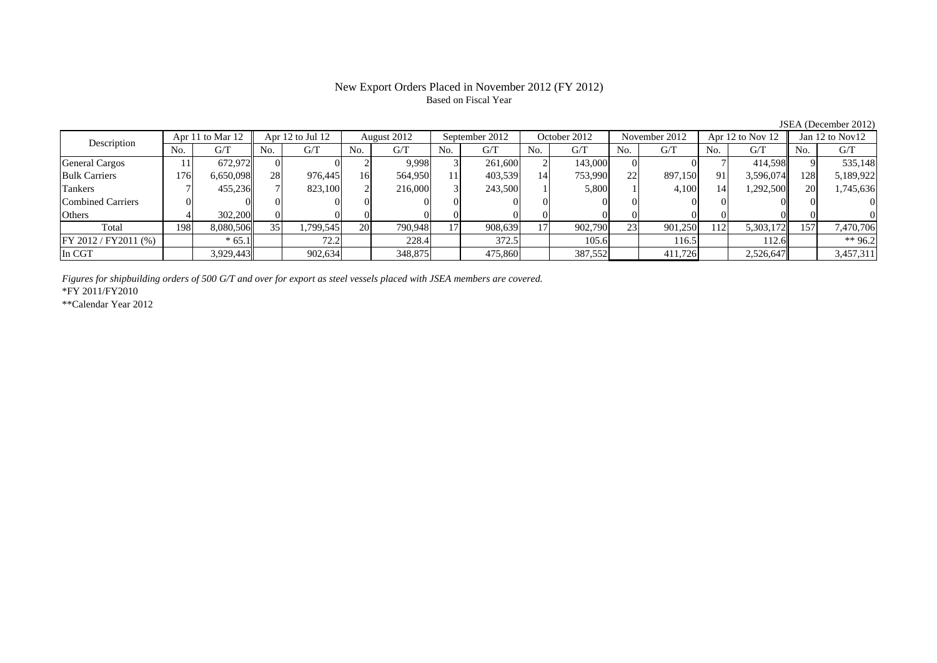## New Export Orders Placed in November 2012 (FY 2012) Based on Fiscal Year

JSEA (December 2012)<br> $\sqrt{2}$  Jan 12 to Nov12 No. G/T No. G/T No. G/T No. G/T No. G/T No. G/T No. G/T No. G/T $\mathrm{G}/\mathrm{T}$ General Cargos ( | 11 | 672,972 | 0 0 0 2 9,998 3 261,600 2 143,000 0 0 0 7 414,598 9 535,148 Bulk Carriers 176 6,650,098 28 976,445 16 564,950 11 403,539 14 753,990 22 897,150 91 3,596,074 128 5,189,922 Tankers | 7| 455,236|| 7| 823,100| 2| 216,000| 3| 243,500| 1| 5,800| 1| 4,100| 14| 1,292,500|| 20| 1,745,636 Combined Carriers 0 0 0 0 0 0 0 0 0 0 0 0 0 0 0 0Others 4 302,200 0 0 0 0 0 0 0 0 0 0 0 0 0 0 Total 198 8,080,506 35 1,799,545 20 790,948 17 908,639 17 902,790 23 901,250 112 5,303,172 157 7,470,706 FY 2012 / FY2011 (%) \* 65.1 72.2 72.2 228.4 372.5 105.6 105.6 116.5 112.6 \*\* 96.2 In CGT | | 3,929,443|| | 902,634| | 348,875| | 475,860| | 387,552| | 411,726| | 2,526,647|| | 3,457,311 Description Apr 11 to Mar 12 Apr 12 to Jul 12 August 2012 September 2012<br>No. 6/T No. 6/T No. 6/T No. 6/T No. 6/T October 2012 November 2012 Apr 12 to Nov 12

*Figures for shipbuilding orders of 500 G/T and over for export as steel vessels placed with JSEA members are covered.*

\*FY 2011/FY2010

\*\*Calendar Year 2012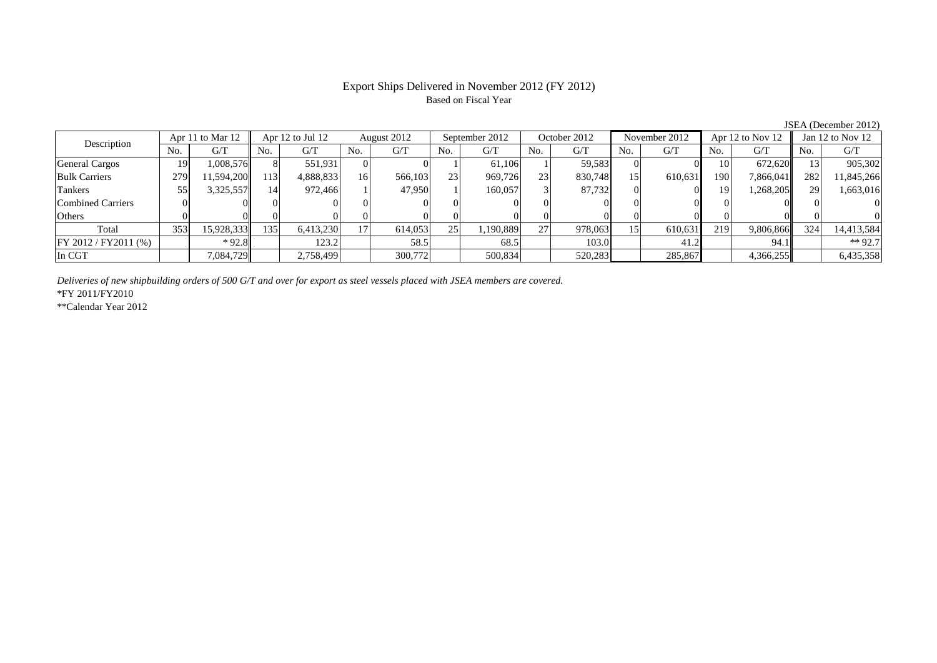## Export Ships Delivered in November 2012 (FY 2012) Based on Fiscal Year

| Apr 11 to Mar 12<br>Description |                | Apr 12 to Jul 12 |      | August 2012 |           | September 2012 |     | October 2012 |     | November 2012 |     | Apr 12 to Nov 12 |     | Jan $12$ to Nov $12$ |     |            |
|---------------------------------|----------------|------------------|------|-------------|-----------|----------------|-----|--------------|-----|---------------|-----|------------------|-----|----------------------|-----|------------|
|                                 | N <sub>o</sub> | G/T              | No.  | G/T         | No.       | G/T            | No. | G/T          | No. | G/T           | No. | G/T              | No. | G/T                  | No. | G/T        |
| General Cargos                  | 19             | 1,008,576        |      | 551,931     |           |                |     | 61.106       |     | 59,583        |     |                  | 10  | 672,620              |     | 905,302    |
| <b>Bulk Carriers</b>            | 279            | 1.594.200        | 1131 | 4,888,833   | <b>16</b> | 566,103        | 23  | 969.726      | 23  | 830,748       | 15  | 610,631          | 190 | 7,866,041            | 282 | 11,845,266 |
| Tankers                         |                | 3,325,557        | 14   | 972.466     |           | 47.950         |     | 160.057      |     | 87.732        |     |                  | 19  | 1,268,205            | 29  | 1,663,016  |
| <b>Combined Carriers</b>        |                |                  |      |             |           |                |     |              |     |               |     |                  |     |                      |     |            |
| Others                          |                |                  |      |             |           |                |     |              |     |               |     |                  |     |                      |     |            |
| Total                           | 353            | 15,928,333       | 135  | 6,413,230   |           | 614,053        | 25  | 1,190,889    | 27  | 978,063       | 15  | 610,631          | 219 | 9,806,866            | 324 | 14,413,584 |
| FY 2012/FY2011 (%)              |                | $*92.8$          |      | 123.2       |           | 58.5           |     | 68.5         |     | 103.0         |     | 41.2             |     | 94.1                 |     | $**92.7$   |
| In CGT                          |                | 7,084,729        |      | 2,758,499   |           | 300,772        |     | 500,834      |     | 520,283       |     | 285,867          |     | 4,366,255            |     | 6,435,358  |

*Deliveries of new shipbuilding orders of 500 G/T and over for export as steel vessels placed with JSEA members are covered.*

\*FY 2011/FY2010

\*\*Calendar Year 2012

JSEA (December 2012)